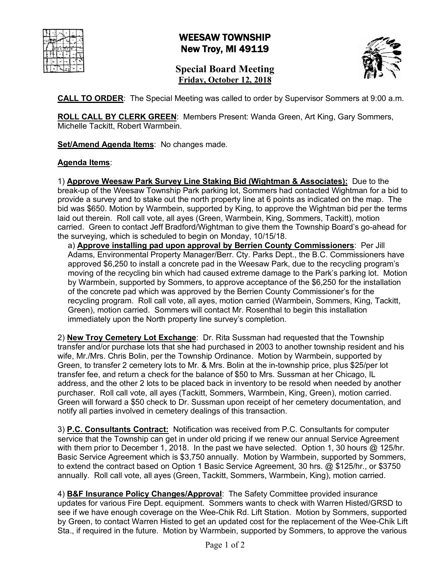## WEESAW TOWNSHIP New Troy, MI 49119

**Special Board Meeting Friday, October 12, 2018**



**CALL TO ORDER**: The Special Meeting was called to order by Supervisor Sommers at 9:00 a.m.

**ROLL CALL BY CLERK GREEN**: Members Present: Wanda Green, Art King, Gary Sommers, Michelle Tackitt, Robert Warmbein.

**Set/Amend Agenda Items**: No changes made.

## **Agenda Items**:

1) **Approve Weesaw Park Survey Line Staking Bid (Wightman & Associates):** Due to the break-up of the Weesaw Township Park parking lot, Sommers had contacted Wightman for a bid to provide a survey and to stake out the north property line at 6 points as indicated on the map. The bid was \$650. Motion by Warmbein, supported by King, to approve the Wightman bid per the terms laid out therein. Roll call vote, all ayes (Green, Warmbein, King, Sommers, Tackitt), motion carried. Green to contact Jeff Bradford/Wightman to give them the Township Board's go-ahead for the surveying, which is scheduled to begin on Monday, 10/15/18.

a) **Approve installing pad upon approval by Berrien County Commissioners**: Per Jill Adams, Environmental Property Manager/Berr. Cty. Parks Dept., the B.C. Commissioners have approved \$6,250 to install a concrete pad in the Weesaw Park, due to the recycling program's moving of the recycling bin which had caused extreme damage to the Park's parking lot. Motion by Warmbein, supported by Sommers, to approve acceptance of the \$6,250 for the installation of the concrete pad which was approved by the Berrien County Commissioner's for the recycling program. Roll call vote, all ayes, motion carried (Warmbein, Sommers, King, Tackitt, Green), motion carried. Sommers will contact Mr. Rosenthal to begin this installation immediately upon the North property line survey's completion.

2) **New Troy Cemetery Lot Exchange**: Dr. Rita Sussman had requested that the Township transfer and/or purchase lots that she had purchased in 2003 to another township resident and his wife, Mr./Mrs. Chris Bolin, per the Township Ordinance. Motion by Warmbein, supported by Green, to transfer 2 cemetery lots to Mr. & Mrs. Bolin at the in-township price, plus \$25/per lot transfer fee, and return a check for the balance of \$50 to Mrs. Sussman at her Chicago, IL address, and the other 2 lots to be placed back in inventory to be resold when needed by another purchaser. Roll call vote, all ayes (Tackitt, Sommers, Warmbein, King, Green), motion carried. Green will forward a \$50 check to Dr. Sussman upon receipt of her cemetery documentation, and notify all parties involved in cemetery dealings of this transaction.

3) **P.C. Consultants Contract:** Notification was received from P.C. Consultants for computer service that the Township can get in under old pricing if we renew our annual Service Agreement with them prior to December 1, 2018. In the past we have selected. Option 1, 30 hours @ 125/hr. Basic Service Agreement which is \$3,750 annually. Motion by Warmbein, supported by Sommers, to extend the contract based on Option 1 Basic Service Agreement, 30 hrs. @ \$125/hr., or \$3750 annually. Roll call vote, all ayes (Green, Tackitt, Sommers, Warmbein, King), motion carried.

4) **B&F Insurance Policy Changes/Approval**: The Safety Committee provided insurance updates for various Fire Dept. equipment. Sommers wants to check with Warren Histed/GRSD to see if we have enough coverage on the Wee-Chik Rd. Lift Station. Motion by Sommers, supported by Green, to contact Warren Histed to get an updated cost for the replacement of the Wee-Chik Lift Sta., if required in the future. Motion by Warmbein, supported by Sommers, to approve the various